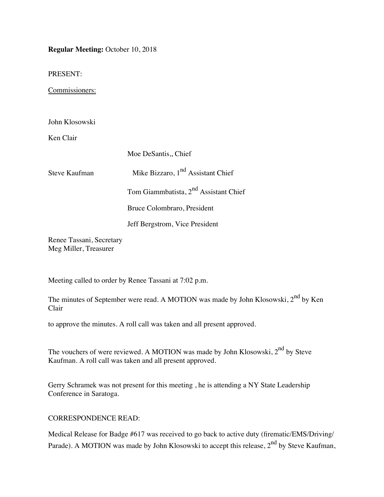**Regular Meeting:** October 10, 2018

PRESENT:

Commissioners:

John Klosowski

Ken Clair

|               | Moe DeSantis, Chief                               |  |
|---------------|---------------------------------------------------|--|
| Steve Kaufman | Mike Bizzaro, $1nd$ Assistant Chief               |  |
|               | Tom Giammbatista, 2 <sup>nd</sup> Assistant Chief |  |
|               | Bruce Colombraro, President                       |  |
|               | Jeff Bergstrom, Vice President                    |  |

Renee Tassani, Secretary Meg Miller, Treasurer

Meeting called to order by Renee Tassani at 7:02 p.m.

The minutes of September were read. A MOTION was made by John Klosowski, 2<sup>nd</sup> by Ken Clair

to approve the minutes. A roll call was taken and all present approved.

The vouchers of were reviewed. A MOTION was made by John Klosowski,  $2<sup>nd</sup>$  by Steve Kaufman. A roll call was taken and all present approved.

Gerry Schramek was not present for this meeting , he is attending a NY State Leadership Conference in Saratoga.

### CORRESPONDENCE READ:

Medical Release for Badge #617 was received to go back to active duty (firematic/EMS/Driving/ Parade). A MOTION was made by John Klosowski to accept this release,  $2<sup>nd</sup>$  by Steve Kaufman,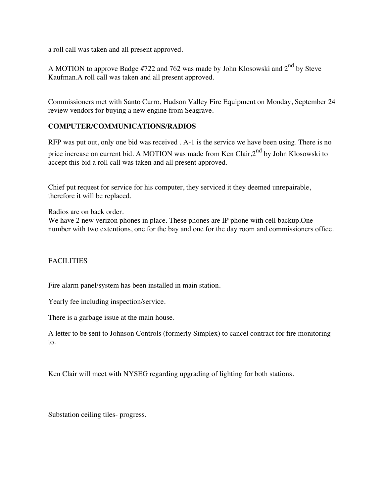a roll call was taken and all present approved.

A MOTION to approve Badge #722 and 762 was made by John Klosowski and  $2^{nd}$  by Steve Kaufman.A roll call was taken and all present approved.

Commissioners met with Santo Curro, Hudson Valley Fire Equipment on Monday, September 24 review vendors for buying a new engine from Seagrave.

### **COMPUTER/COMMUNICATIONS/RADIOS**

RFP was put out, only one bid was received . A-1 is the service we have been using. There is no price increase on current bid. A MOTION was made from Ken Clair, $2^{nd}$  by John Klosowski to accept this bid a roll call was taken and all present approved.

Chief put request for service for his computer, they serviced it they deemed unrepairable, therefore it will be replaced.

Radios are on back order.

We have 2 new verizon phones in place. These phones are IP phone with cell backup. One number with two extentions, one for the bay and one for the day room and commissioners office.

### FACILITIES

Fire alarm panel/system has been installed in main station.

Yearly fee including inspection/service.

There is a garbage issue at the main house.

A letter to be sent to Johnson Controls (formerly Simplex) to cancel contract for fire monitoring to.

Ken Clair will meet with NYSEG regarding upgrading of lighting for both stations.

Substation ceiling tiles- progress.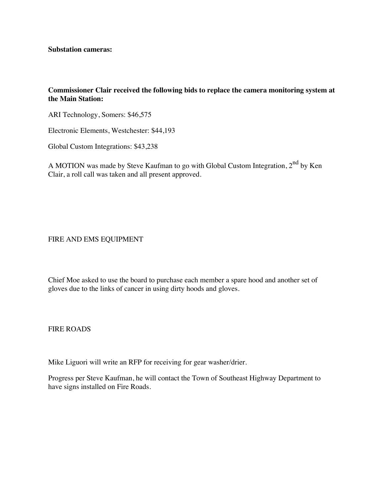**Substation cameras:** 

#### **Commissioner Clair received the following bids to replace the camera monitoring system at the Main Station:**

ARI Technology, Somers: \$46,575

Electronic Elements, Westchester: \$44,193

Global Custom Integrations: \$43,238

A MOTION was made by Steve Kaufman to go with Global Custom Integration, 2<sup>nd</sup> by Ken Clair, a roll call was taken and all present approved.

FIRE AND EMS EQUIPMENT

Chief Moe asked to use the board to purchase each member a spare hood and another set of gloves due to the links of cancer in using dirty hoods and gloves.

FIRE ROADS

Mike Liguori will write an RFP for receiving for gear washer/drier.

Progress per Steve Kaufman, he will contact the Town of Southeast Highway Department to have signs installed on Fire Roads.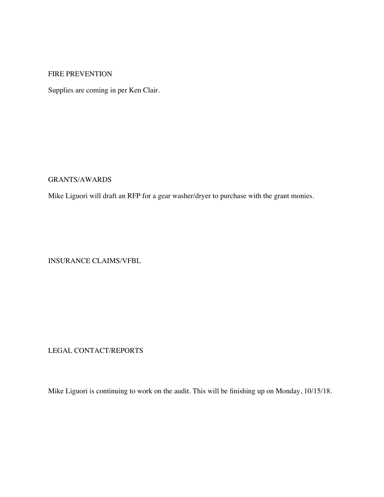#### FIRE PREVENTION

Supplies are coming in per Ken Clair.

GRANTS/AWARDS

Mike Liguori will draft an RFP for a gear washer/dryer to purchase with the grant monies.

INSURANCE CLAIMS/VFBL

LEGAL CONTACT/REPORTS

Mike Liguori is continuing to work on the audit. This will be finishing up on Monday, 10/15/18.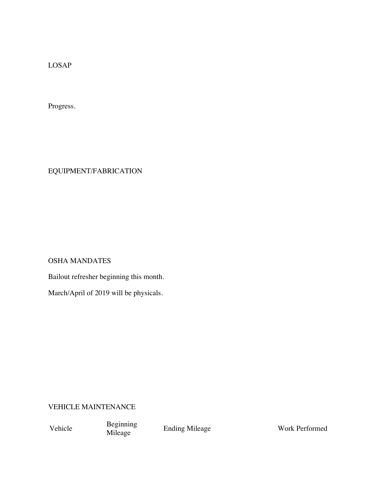LOSAP

Progress.

EQUIPMENT/FABRICATION

OSHA MANDATES

Bailout refresher beginning this month.

March/April of 2019 will be physicals.

VEHICLE MAINTENANCE

Vehicle Beginning<br>Mileage

Mileage Ending Mileage Work Performed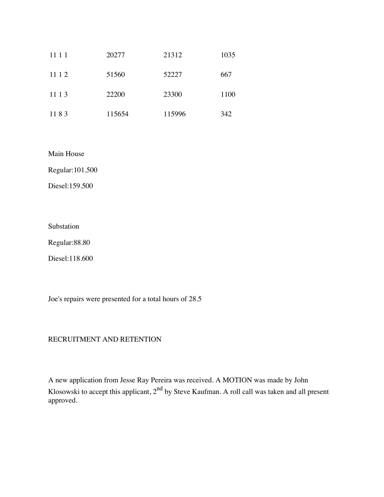| 11 1 1 | 20277  | 21312  | 1035 |
|--------|--------|--------|------|
| 11 1 2 | 51560  | 52227  | 667  |
| 11 1 3 | 22200  | 23300  | 1100 |
| 1183   | 115654 | 115996 | 342  |

Main House

Regular:101.500

Diesel:159.500

Substation

Regular:88.80

Diesel:118.600

Joe's repairs were presented for a total hours of 28.5

## RECRUITMENT AND RETENTION

A new application from Jesse Ray Pereira was received. A MOTION was made by John Klosowski to accept this applicant, 2<sup>nd</sup> by Steve Kaufman. A roll call was taken and all present approved.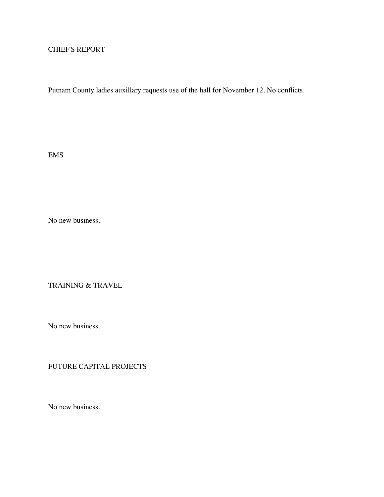## CHIEF'S REPORT

Putnam County ladies auxillary requests use of the hall for November 12. No conflicts.

EMS

No new business.

TRAINING & TRAVEL

No new business.

# FUTURE CAPITAL PROJECTS

No new business.